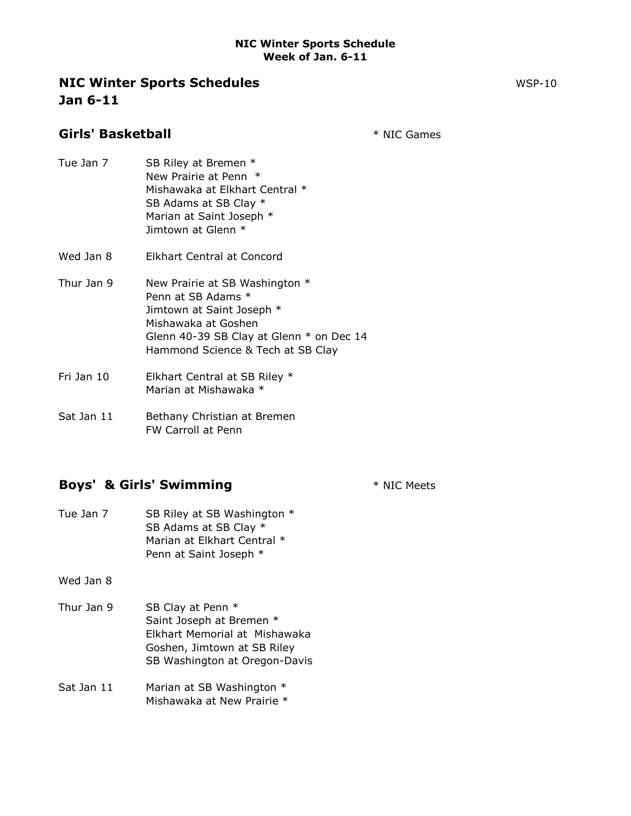### **NIC Winter Sports Schedules** WSP-10 Jan 6-11

Girls' Basketball **Games Girls' Basketball** 

- Tue Jan 7 SB Riley at Bremen \* New Prairie at Penn \* Mishawaka at Elkhart Central \* SB Adams at SB Clay \* Marian at Saint Joseph \* Jimtown at Glenn \*
- Wed Jan 8 Elkhart Central at Concord
- Thur Jan 9 New Prairie at SB Washington \* Penn at SB Adams \* Jimtown at Saint Joseph \* Mishawaka at Goshen Glenn 40-39 SB Clay at Glenn \* on Dec 14 Hammond Science & Tech at SB Clay
- Fri Jan 10 Elkhart Central at SB Riley \* Marian at Mishawaka \*
- Sat Jan 11 Bethany Christian at Bremen FW Carroll at Penn

# Boys' & Girls' Swimming  $*$  NIC Meets

- Tue Jan 7 SB Riley at SB Washington \* SB Adams at SB Clay \* Marian at Elkhart Central \* Penn at Saint Joseph \*
- Wed Jan 8
- Thur Jan 9 SB Clay at Penn  $*$ Saint Joseph at Bremen \* Elkhart Memorial at Mishawaka Goshen, Jimtown at SB Riley SB Washington at Oregon-Davis
- Sat Jan 11 Marian at SB Washington \* Mishawaka at New Prairie \*